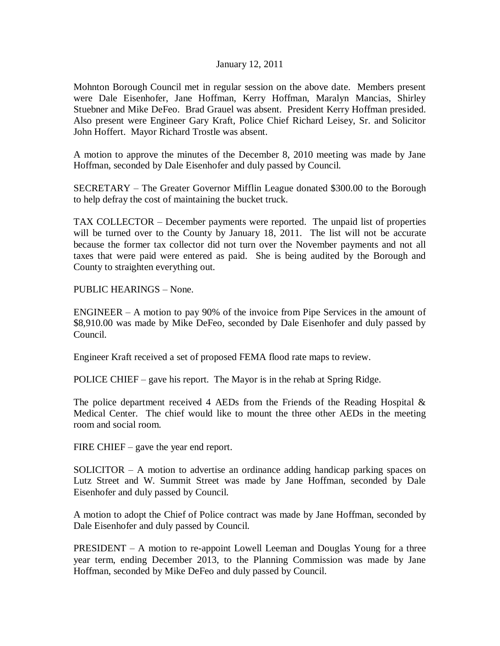## January 12, 2011

Mohnton Borough Council met in regular session on the above date. Members present were Dale Eisenhofer, Jane Hoffman, Kerry Hoffman, Maralyn Mancias, Shirley Stuebner and Mike DeFeo. Brad Grauel was absent. President Kerry Hoffman presided. Also present were Engineer Gary Kraft, Police Chief Richard Leisey, Sr. and Solicitor John Hoffert. Mayor Richard Trostle was absent.

A motion to approve the minutes of the December 8, 2010 meeting was made by Jane Hoffman, seconded by Dale Eisenhofer and duly passed by Council.

SECRETARY – The Greater Governor Mifflin League donated \$300.00 to the Borough to help defray the cost of maintaining the bucket truck.

TAX COLLECTOR – December payments were reported. The unpaid list of properties will be turned over to the County by January 18, 2011. The list will not be accurate because the former tax collector did not turn over the November payments and not all taxes that were paid were entered as paid. She is being audited by the Borough and County to straighten everything out.

PUBLIC HEARINGS – None.

ENGINEER – A motion to pay 90% of the invoice from Pipe Services in the amount of \$8,910.00 was made by Mike DeFeo, seconded by Dale Eisenhofer and duly passed by Council.

Engineer Kraft received a set of proposed FEMA flood rate maps to review.

POLICE CHIEF – gave his report. The Mayor is in the rehab at Spring Ridge.

The police department received 4 AEDs from the Friends of the Reading Hospital  $\&$ Medical Center. The chief would like to mount the three other AEDs in the meeting room and social room.

FIRE CHIEF – gave the year end report.

 $SOLICITOR - A motion to advertise an ordinance adding handicap parking spaces on$ Lutz Street and W. Summit Street was made by Jane Hoffman, seconded by Dale Eisenhofer and duly passed by Council.

A motion to adopt the Chief of Police contract was made by Jane Hoffman, seconded by Dale Eisenhofer and duly passed by Council.

PRESIDENT – A motion to re-appoint Lowell Leeman and Douglas Young for a three year term, ending December 2013, to the Planning Commission was made by Jane Hoffman, seconded by Mike DeFeo and duly passed by Council.